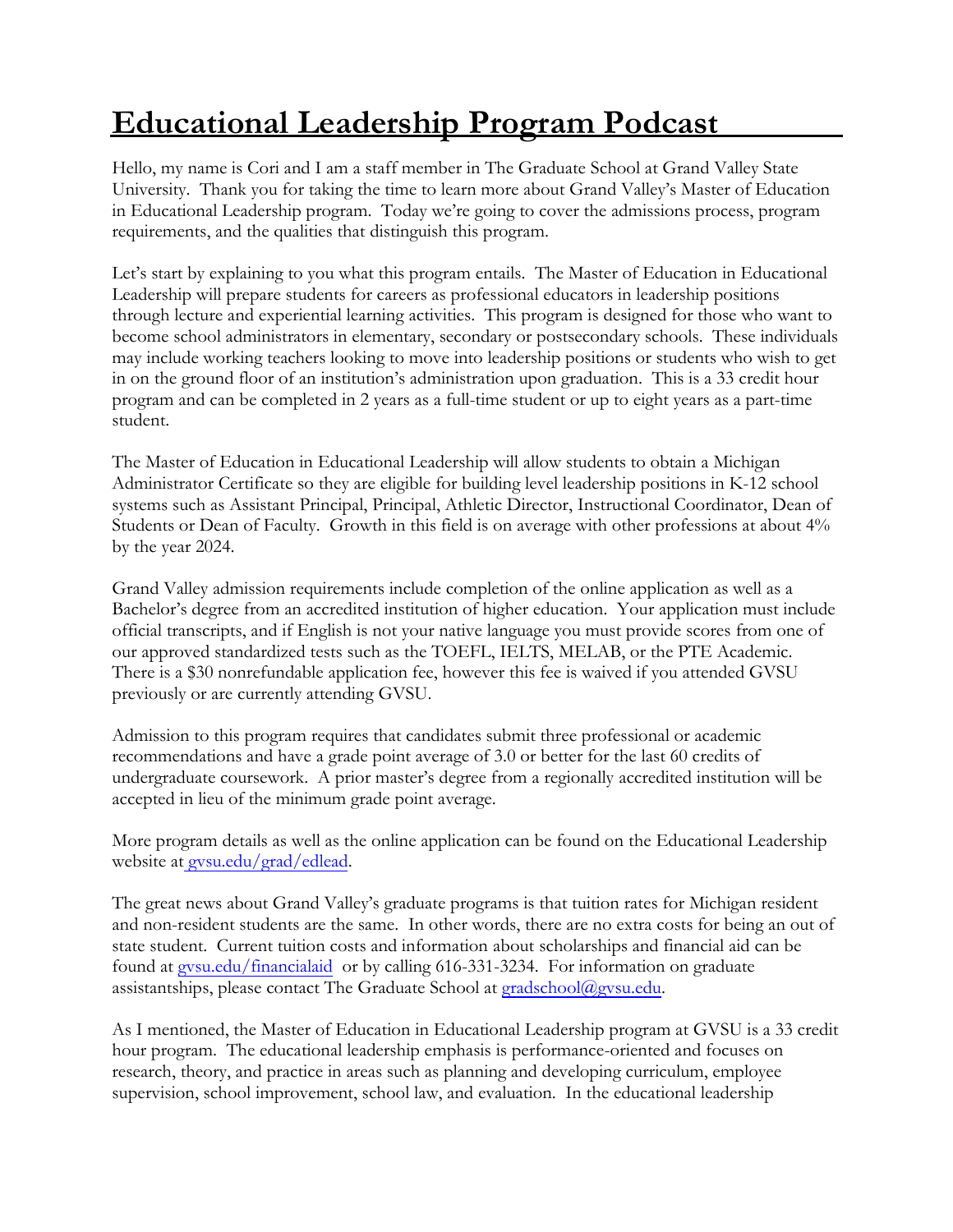## **Educational Leadership Program Podcast**

Hello, my name is Cori and I am a staff member in The Graduate School at Grand Valley State University. Thank you for taking the time to learn more about Grand Valley's Master of Education in Educational Leadership program. Today we're going to cover the admissions process, program requirements, and the qualities that distinguish this program.

Let's start by explaining to you what this program entails. The Master of Education in Educational Leadership will prepare students for careers as professional educators in leadership positions through lecture and experiential learning activities. This program is designed for those who want to become school administrators in elementary, secondary or postsecondary schools. These individuals may include working teachers looking to move into leadership positions or students who wish to get in on the ground floor of an institution's administration upon graduation. This is a 33 credit hour program and can be completed in 2 years as a full-time student or up to eight years as a part-time student.

The Master of Education in Educational Leadership will allow students to obtain a Michigan Administrator Certificate so they are eligible for building level leadership positions in K-12 school systems such as Assistant Principal, Principal, Athletic Director, Instructional Coordinator, Dean of Students or Dean of Faculty. Growth in this field is on average with other professions at about 4% by the year 2024.

Grand Valley admission requirements include completion of the online application as well as a Bachelor's degree from an accredited institution of higher education. Your application must include official transcripts, and if English is not your native language you must provide scores from one of our approved standardized tests such as the TOEFL, IELTS, MELAB, or the PTE Academic. There is a \$30 nonrefundable application fee, however this fee is waived if you attended GVSU previously or are currently attending GVSU.

Admission to this program requires that candidates submit three professional or academic recommendations and have a grade point average of 3.0 or better for the last 60 credits of undergraduate coursework. A prior master's degree from a regionally accredited institution will be accepted in lieu of the minimum grade point average.

More program details as well as the online application can be found on the Educational Leadership website at [gvsu.edu/grad/edlead.](http://www.gvsu.edu/grad/edlead)

The great news about Grand Valley's graduate programs is that tuition rates for Michigan resident and non-resident students are the same. In other words, there are no extra costs for being an out of state student. Current tuition costs and information about scholarships and financial aid can be found at [gvsu.edu/financialaid](http://www.gvsu.edu/financialaid) or by calling 616-331-3234. For information on graduate assistantships, please contact The Graduate School at [gradschool@gvsu.edu.](mailto:gradschool@gvsu.edu)

As I mentioned, the Master of Education in Educational Leadership program at GVSU is a 33 credit hour program. The educational leadership emphasis is performance-oriented and focuses on research, theory, and practice in areas such as planning and developing curriculum, employee supervision, school improvement, school law, and evaluation. In the educational leadership